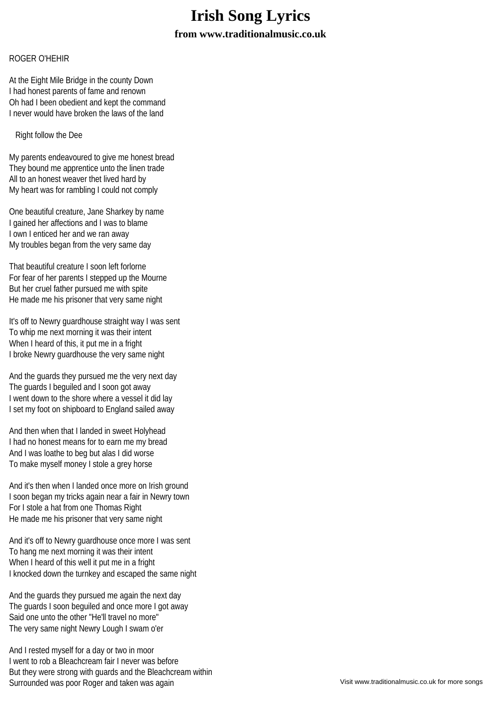## **Irish Song Lyrics from www.traditionalmusic.co.uk**

## ROGER O'HEHIR

At the Eight Mile Bridge in the county Down I had honest parents of fame and renown Oh had I been obedient and kept the command I never would have broken the laws of the land

Right follow the Dee

My parents endeavoured to give me honest bread They bound me apprentice unto the linen trade All to an honest weaver thet lived hard by My heart was for rambling I could not comply

One beautiful creature, Jane Sharkey by name I gained her affections and I was to blame I own I enticed her and we ran away My troubles began from the very same day

That beautiful creature I soon left forlorne For fear of her parents I stepped up the Mourne But her cruel father pursued me with spite He made me his prisoner that very same night

It's off to Newry guardhouse straight way I was sent To whip me next morning it was their intent When I heard of this, it put me in a fright I broke Newry guardhouse the very same night

And the guards they pursued me the very next day The guards I beguiled and I soon got away I went down to the shore where a vessel it did lay I set my foot on shipboard to England sailed away

And then when that I landed in sweet Holyhead I had no honest means for to earn me my bread And I was loathe to beg but alas I did worse To make myself money I stole a grey horse

And it's then when I landed once more on Irish ground I soon began my tricks again near a fair in Newry town For I stole a hat from one Thomas Right He made me his prisoner that very same night

And it's off to Newry guardhouse once more I was sent To hang me next morning it was their intent When I heard of this well it put me in a fright I knocked down the turnkey and escaped the same night

And the guards they pursued me again the next day The guards I soon beguiled and once more I got away Said one unto the other "He'll travel no more" The very same night Newry Lough I swam o'er

And I rested myself for a day or two in moor I went to rob a Bleachcream fair I never was before But they were strong with guards and the Bleachcream within Surrounded was poor Roger and taken was again